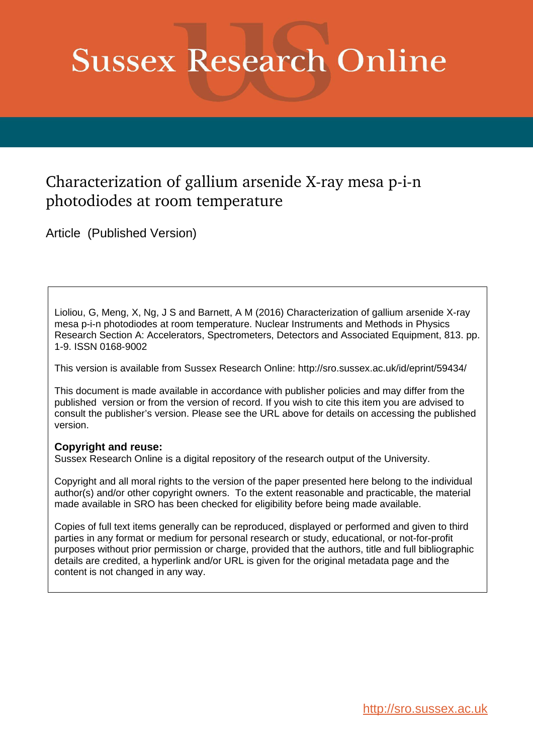# **Sussex Research Online**

# Characterization of gallium arsenide X-ray mesa  $p$ -i-n photodiodes at room temperature

Article (Published Version)

Lioliou, G, Meng, X, Ng, J S and Barnett, A M (2016) Characterization of gallium arsenide X-ray mesa p-i-n photodiodes at room temperature. Nuclear Instruments and Methods in Physics Research Section A: Accelerators, Spectrometers, Detectors and Associated Equipment, 813. pp. 1-9. ISSN 0168-9002

This version is available from Sussex Research Online: http://sro.sussex.ac.uk/id/eprint/59434/

This document is made available in accordance with publisher policies and may differ from the published version or from the version of record. If you wish to cite this item you are advised to consult the publisher's version. Please see the URL above for details on accessing the published version.

## **Copyright and reuse:**

Sussex Research Online is a digital repository of the research output of the University.

Copyright and all moral rights to the version of the paper presented here belong to the individual author(s) and/or other copyright owners. To the extent reasonable and practicable, the material made available in SRO has been checked for eligibility before being made available.

Copies of full text items generally can be reproduced, displayed or performed and given to third parties in any format or medium for personal research or study, educational, or not-for-profit purposes without prior permission or charge, provided that the authors, title and full bibliographic details are credited, a hyperlink and/or URL is given for the original metadata page and the content is not changed in any way.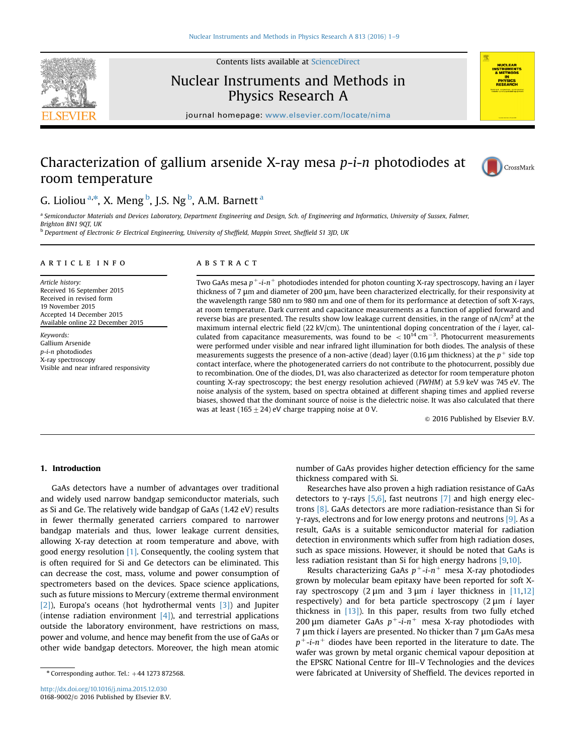

## Nuclear Instruments and Methods in Physics Research A



journal homepage: <www.elsevier.com/locate/nima>

## Characterization of gallium arsenide X-ray mesa  $p-i$ -n photodiodes at room temperature



### G. Lioliou <sup>a,\*</sup>, X. Meng <sup>b</sup>, J.S. Ng <sup>b</sup>, A.M. Barnett <sup>a</sup>

a Semiconductor Materials and Devices Laboratory, Department Engineering and Design, Sch. of Engineering and Informatics, University of Sussex, Falmer, Brighton BN1 9QT, UK

**b** Department of Electronic & Electrical Engineering, University of Sheffield, Mappin Street, Sheffield S1 3JD, UK

#### article info

Article history: Received 16 September 2015 Received in revised form 19 November 2015 Accepted 14 December 2015 Available online 22 December 2015

Keywords: Gallium Arsenide p-i-n photodiodes X-ray spectroscopy Visible and near infrared responsivity

#### **ABSTRACT**

Two GaAs mesa  $p^+$ -i-n<sup>+</sup> photodiodes intended for photon counting X-ray spectroscopy, having an i layer thickness of 7 μm and diameter of 200 μm, have been characterized electrically, for their responsivity at the wavelength range 580 nm to 980 nm and one of them for its performance at detection of soft X-rays, at room temperature. Dark current and capacitance measurements as a function of applied forward and reverse bias are presented. The results show low leakage current densities, in the range of  $nA/cm<sup>2</sup>$  at the maximum internal electric field (22 kV/cm). The unintentional doping concentration of the i layer, calculated from capacitance measurements, was found to be  $\langle 10^{14} \text{ cm}^{-3}$ . Photocurrent measurements were performed under visible and near infrared light illumination for both diodes. The analysis of these measurements suggests the presence of a non-active (dead) layer (0.16  $\mu$ m thickness) at the  $p^+$  side top contact interface, where the photogenerated carriers do not contribute to the photocurrent, possibly due to recombination. One of the diodes, D1, was also characterized as detector for room temperature photon counting X-ray spectroscopy; the best energy resolution achieved (FWHM) at 5.9 keV was 745 eV. The noise analysis of the system, based on spectra obtained at different shaping times and applied reverse biases, showed that the dominant source of noise is the dielectric noise. It was also calculated that there was at least (165  $\pm$  24) eV charge trapping noise at 0 V.

 $\circ$  2016 Published by Elsevier B.V.

#### 1. Introduction

GaAs detectors have a number of advantages over traditional and widely used narrow bandgap semiconductor materials, such as Si and Ge. The relatively wide bandgap of GaAs (1.42 eV) results in fewer thermally generated carriers compared to narrower bandgap materials and thus, lower leakage current densities, allowing X-ray detection at room temperature and above, with good energy resolution  $[1]$ . Consequently, the cooling system that is often required for Si and Ge detectors can be eliminated. This can decrease the cost, mass, volume and power consumption of spectrometers based on the devices. Space science applications, such as future missions to Mercury (extreme thermal environment [\[2\]](#page-8-0)), Europa's oceans (hot hydrothermal vents [\[3\]\)](#page-8-0) and Jupiter (intense radiation environment  $[4]$ ), and terrestrial applications outside the laboratory environment, have restrictions on mass, power and volume, and hence may benefit from the use of GaAs or other wide bandgap detectors. Moreover, the high mean atomic

number of GaAs provides higher detection efficiency for the same thickness compared with Si.

Researches have also proven a high radiation resistance of GaAs detectors to  $γ$ -rays [\[5,6\],](#page-8-0) fast neutrons [\[7\]](#page-8-0) and high energy electrons [\[8\]](#page-8-0). GaAs detectors are more radiation-resistance than Si for  $γ$ -rays, electrons and for low energy protons and neutrons [\[9\]](#page-8-0). As a result, GaAs is a suitable semiconductor material for radiation detection in environments which suffer from high radiation doses, such as space missions. However, it should be noted that GaAs is less radiation resistant than Si for high energy hadrons [\[9,10\]](#page-8-0).

Results characterizing GaAs  $p^+$ -i- $n^+$  mesa X-ray photodiodes grown by molecular beam epitaxy have been reported for soft Xray spectroscopy (2 μm and 3 μm *i* layer thickness in [\[11,12\]](#page-8-0) respectively) and for beta particle spectroscopy  $(2 \mu m i$  layer thickness in  $[13]$ ). In this paper, results from two fully etched 200 μm diameter GaAs  $p^+$ -i-n<sup>+</sup> mesa X-ray photodiodes with 7 μm thick i layers are presented. No thicker than 7 μm GaAs mesa  $p^+$ -i-n<sup>+</sup> diodes have been reported in the literature to date. The wafer was grown by metal organic chemical vapour deposition at the EPSRC National Centre for III–V Technologies and the devices were fabricated at University of Sheffield. The devices reported in

 $*$  Corresponding author. Tel.:  $+44$  1273 872568.

<http://dx.doi.org/10.1016/j.nima.2015.12.030> 0168-9002/ $\circ$  2016 Published by Elsevier B.V.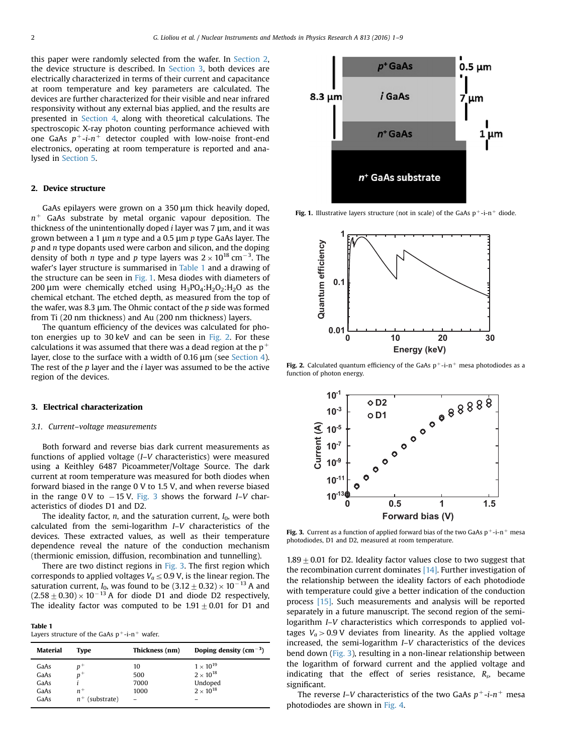this paper were randomly selected from the wafer. In Section 2, the device structure is described. In Section 3, both devices are electrically characterized in terms of their current and capacitance at room temperature and key parameters are calculated. The devices are further characterized for their visible and near infrared responsivity without any external bias applied, and the results are presented in [Section 4](#page-4-0), along with theoretical calculations. The spectroscopic X-ray photon counting performance achieved with one GaAs  $p^+$ -i- $n^+$  detector coupled with low-noise front-end electronics, operating at room temperature is reported and analysed in [Section 5](#page-5-0).

#### 2. Device structure

GaAs epilayers were grown on a 350 μm thick heavily doped,  $n^+$  GaAs substrate by metal organic vapour deposition. The thickness of the unintentionally doped  $i$  layer was 7  $\mu$ m, and it was grown between a 1 μm n type and a 0.5 μm p type GaAs layer. The  $p$  and  $n$  type dopants used were carbon and silicon, and the doping density of both *n* type and *p* type layers was  $2 \times 10^{18}$  cm<sup>-3</sup>. The wafer's layer structure is summarised in Table 1 and a drawing of the structure can be seen in Fig. 1. Mesa diodes with diameters of 200 μm were chemically etched using  $H_3PO_4:H_2O_2:H_2O$  as the chemical etchant. The etched depth, as measured from the top of the wafer, was 8.3  $\mu$ m. The Ohmic contact of the p side was formed from Ti (20 nm thickness) and Au (200 nm thickness) layers.

The quantum efficiency of the devices was calculated for photon energies up to 30 keV and can be seen in Fig. 2. For these calculations it was assumed that there was a dead region at the  $p^+$ layer, close to the surface with a width of 0.16 μm (see [Section 4\)](#page-4-0). The rest of the  $p$  layer and the  $i$  layer was assumed to be the active region of the devices.

#### 3. Electrical characterization

#### 3.1. Current–voltage measurements

Both forward and reverse bias dark current measurements as functions of applied voltage (I–V characteristics) were measured using a Keithley 6487 Picoammeter/Voltage Source. The dark current at room temperature was measured for both diodes when forward biased in the range 0 V to 1.5 V, and when reverse biased in the range  $0 \, \text{V}$  to  $-15 \, \text{V}$ . Fig. 3 shows the forward I–V characteristics of diodes D1 and D2.

The ideality factor,  $n$ , and the saturation current,  $I_0$ , were both calculated from the semi-logarithm I–V characteristics of the devices. These extracted values, as well as their temperature dependence reveal the nature of the conduction mechanism (thermionic emission, diffusion, recombination and tunnelling).

There are two distinct regions in Fig. 3. The first region which corresponds to applied voltages  $V_a \leq 0.9$  V, is the linear region. The saturation current,  $I_0$ , was found to be  $(3.12 \pm 0.32) \times 10^{-13}$  A and  $(2.58 \pm 0.30) \times 10^{-13}$  A for diode D1 and diode D2 respectively, The ideality factor was computed to be  $1.91 \pm 0.01$  for D1 and

Table 1 Layers structure of the GaAs  $p^+$ -i-n<sup>+</sup> wafer.

| Material     | Tvpe  | Thickness (nm) | Doping density $\rm (cm^{-3})$           |
|--------------|-------|----------------|------------------------------------------|
| GaAs<br>GaAs | $n^+$ | 10<br>500      | $1 \times 10^{19}$<br>$2 \times 10^{18}$ |

GaAs i 7000 Undoped GaAs  $n^+$  1000  $2 \times 10^{18}$ <br>GaAs  $n^+$  (substrate) – –

 $n^+$  (substrate)



Fig. 1. Illustrative layers structure (not in scale) of the GaAs  $p^+$ -i-n<sup>+</sup> diode.



Fig. 2. Calculated quantum efficiency of the GaAs  $p^+$ -i-n<sup>+</sup> mesa photodiodes as a function of photon energy.



Fig. 3. Current as a function of applied forward bias of the two GaAs  $p^+$ -i-n<sup>+</sup> mesa photodiodes, D1 and D2, measured at room temperature.

 $1.89 \pm 0.01$  for D2. Ideality factor values close to two suggest that the recombination current dominates  $[14]$ . Further investigation of the relationship between the ideality factors of each photodiode with temperature could give a better indication of the conduction process [\[15\].](#page-8-0) Such measurements and analysis will be reported separately in a future manuscript. The second region of the semilogarithm I–V characteristics which corresponds to applied voltages  $V_a > 0.9$  V deviates from linearity. As the applied voltage increased, the semi-logarithm I–V characteristics of the devices bend down (Fig. 3), resulting in a non-linear relationship between the logarithm of forward current and the applied voltage and indicating that the effect of series resistance,  $R_s$ , became significant.

The reverse I–V characteristics of the two GaAs  $p^+$ -i- $n^+$  mesa photodiodes are shown in [Fig. 4.](#page-3-0)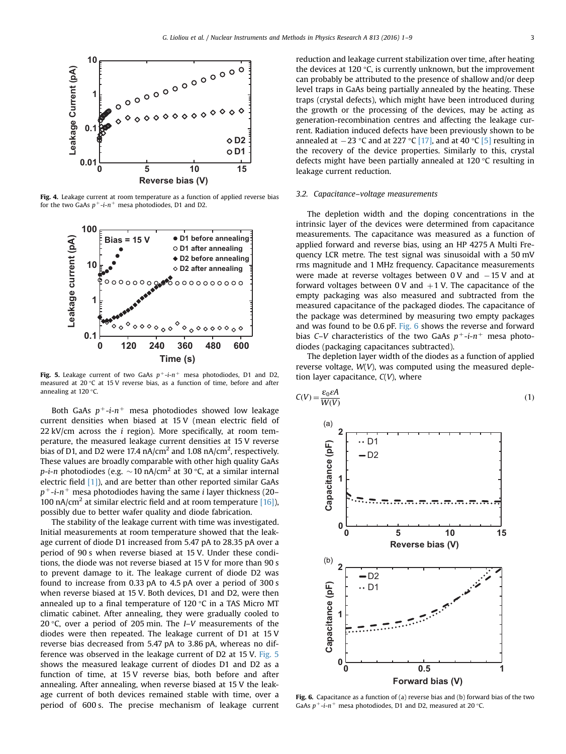<span id="page-3-0"></span>

Fig. 4. Leakage current at room temperature as a function of applied reverse bias for the two GaAs  $p^+$ -i- $n^+$  mesa photodiodes, D1 and D2.



Fig. 5. Leakage current of two GaAs  $p^+$ -i- $n^+$  mesa photodiodes, D1 and D2, measured at 20 °C at 15 V reverse bias, as a function of time, before and after annealing at 120 °C.

Both GaAs  $p^+$ -i- $n^+$  mesa photodiodes showed low leakage current densities when biased at 15 V (mean electric field of 22 kV/cm across the  $i$  region). More specifically, at room temperature, the measured leakage current densities at 15 V reverse bias of D1, and D2 were 17.4 nA/cm<sup>2</sup> and 1.08 nA/cm<sup>2</sup>, respectively. These values are broadly comparable with other high quality GaAs *p*-*i*-*n* photodiodes (e.g.  $\sim$  10 nA/cm<sup>2</sup> at 30 °C, at a similar internal electric field  $[1]$ ), and are better than other reported similar GaAs  $p^+$ -i-n<sup>+</sup> mesa photodiodes having the same *i* layer thickness (20– 100 nA/cm<sup>2</sup> at similar electric field and at room temperature [\[16\]\)](#page-8-0), possibly due to better wafer quality and diode fabrication.

The stability of the leakage current with time was investigated. Initial measurements at room temperature showed that the leakage current of diode D1 increased from 5.47 pA to 28.35 pA over a period of 90 s when reverse biased at 15 V. Under these conditions, the diode was not reverse biased at 15 V for more than 90 s to prevent damage to it. The leakage current of diode D2 was found to increase from 0.33 pA to 4.5 pA over a period of 300 s when reverse biased at 15 V. Both devices, D1 and D2, were then annealed up to a final temperature of 120 °C in a TAS Micro MT climatic cabinet. After annealing, they were gradually cooled to 20 °C, over a period of 205 min. The I–V measurements of the diodes were then repeated. The leakage current of D1 at 15 V reverse bias decreased from 5.47 pA to 3.86 pA, whereas no difference was observed in the leakage current of D2 at 15 V. Fig. 5 shows the measured leakage current of diodes D1 and D2 as a function of time, at 15 V reverse bias, both before and after annealing. After annealing, when reverse biased at 15 V the leakage current of both devices remained stable with time, over a period of 600 s. The precise mechanism of leakage current reduction and leakage current stabilization over time, after heating the devices at 120 °C, is currently unknown, but the improvement can probably be attributed to the presence of shallow and/or deep level traps in GaAs being partially annealed by the heating. These traps (crystal defects), which might have been introduced during the growth or the processing of the devices, may be acting as generation-recombination centres and affecting the leakage current. Radiation induced defects have been previously shown to be annealed at  $-23$  °C and at 227 °C [\[17\],](#page-8-0) and at 40 °C [\[5\]](#page-8-0) resulting in the recovery of the device properties. Similarly to this, crystal defects might have been partially annealed at 120 °C resulting in leakage current reduction.

#### 3.2. Capacitance–voltage measurements

The depletion width and the doping concentrations in the intrinsic layer of the devices were determined from capacitance measurements. The capacitance was measured as a function of applied forward and reverse bias, using an HP 4275 A Multi Frequency LCR metre. The test signal was sinusoidal with a 50 mV rms magnitude and 1 MHz frequency. Capacitance measurements were made at reverse voltages between  $0 \, V$  and  $-15 \, V$  and at forward voltages between  $0 \text{ V}$  and  $+1 \text{ V}$ . The capacitance of the empty packaging was also measured and subtracted from the measured capacitance of the packaged diodes. The capacitance of the package was determined by measuring two empty packages and was found to be 0.6 pF. Fig. 6 shows the reverse and forward bias C–V characteristics of the two GaAs  $p^+$ -i- $n^+$  mesa photodiodes (packaging capacitances subtracted).

The depletion layer width of the diodes as a function of applied reverse voltage,  $W(V)$ , was computed using the measured depletion layer capacitance,  $C(V)$ , where



Fig. 6. Capacitance as a function of (a) reverse bias and (b) forward bias of the two GaAs  $p^+$ -i-n<sup>+</sup> mesa photodiodes, D1 and D2, measured at 20 °C.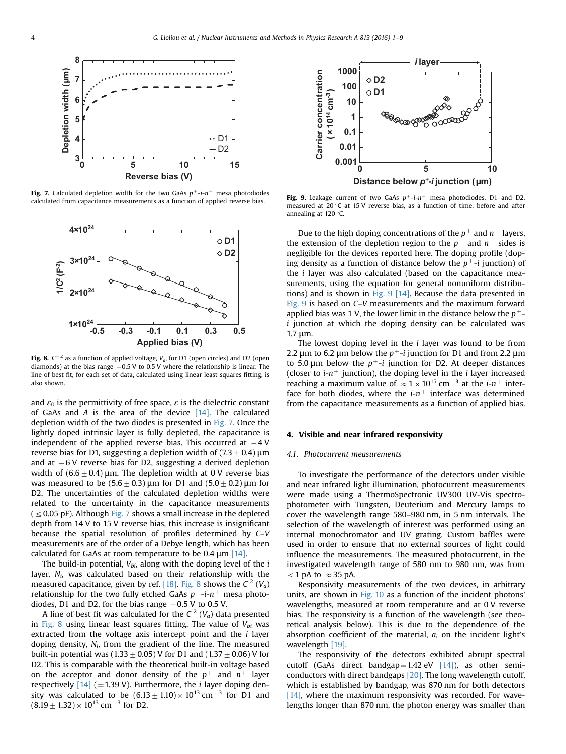<span id="page-4-0"></span>

Fig. 7. Calculated depletion width for the two GaAs  $p^+$ -i- $n^+$  mesa photodiodes calculated from capacitance measurements as a function of applied reverse bias.



**Fig. 8.** C<sup>-2</sup> as a function of applied voltage,  $V_a$ , for D1 (open circles) and D2 (open diamonds) at the bias range -0.5 V to 0.5 V where the relationship is linear. The line of best fit, for each set of data, calculated using linear least squares fitting, is also shown.

and  $\varepsilon_0$  is the permittivity of free space,  $\varepsilon$  is the dielectric constant of GaAs and A is the area of the device  $[14]$ . The calculated depletion width of the two diodes is presented in Fig. 7. Once the lightly doped intrinsic layer is fully depleted, the capacitance is independent of the applied reverse bias. This occurred at  $-4$  V reverse bias for D1, suggesting a depletion width of  $(7.3\pm0.4)$  µm and at -6 V reverse bias for D2, suggesting a derived depletion width of  $(6.6 \pm 0.4)$  µm. The depletion width at 0 V reverse bias was measured to be  $(5.6\pm0.3)$  μm for D1 and  $(5.0\pm0.2)$  μm for D2. The uncertainties of the calculated depletion widths were related to the uncertainty in the capacitance measurements  $( $\leq$  0.05 pF). Although Fig. 7 shows a small increase in the depleted$ depth from 14 V to 15 V reverse bias, this increase is insignificant because the spatial resolution of profiles determined by C–V measurements are of the order of a Debye length, which has been calculated for GaAs at room temperature to be  $0.4 \,\mathrm{\upmu m}$  [\[14\]](#page-8-0).

The build-in potential,  $V_{bi}$ , along with the doping level of the  $i$ layer,  $N_i$ , was calculated based on their relationship with the measured capacitance, given by ref. [\[18\]](#page-8-0). Fig. 8 shows the  $C^2$  ( $V_a$ ) relationship for the two fully etched GaAs  $p^+$ -i- $n^+$  mesa photodiodes, D1 and D2, for the bias range  $-0.5$  V to 0.5 V.

A line of best fit was calculated for the  $C^2$  ( $V_a$ ) data presented in Fig. 8 using linear least squares fitting. The value of  $V_{bi}$  was extracted from the voltage axis intercept point and the  $i$  layer doping density,  $N_i$ , from the gradient of the line. The measured built-in potential was (1.33  $\pm$  0.05) V for D1 and (1.37  $\pm$  0.06) V for D2. This is comparable with the theoretical built-in voltage based on the acceptor and donor density of the  $p^+$  and  $n^+$  layer respectively  $[14]$  (=1.39 V). Furthermore, the *i* layer doping density was calculated to be  $(6.13 \pm 1.10) \times 10^{13}$  cm<sup>-3</sup> for D1 and  $(8.19 \pm 1.32) \times 10^{13}$  cm<sup>-3</sup> for D2.



Fig. 9. Leakage current of two GaAs  $p^+-i-n^+$  mesa photodiodes, D1 and D2, measured at 20 °C at 15 V reverse bias, as a function of time, before and after annealing at 120 °C.

Due to the high doping concentrations of the  $p^+$  and  $n^+$  layers, the extension of the depletion region to the  $p^+$  and  $n^+$  sides is negligible for the devices reported here. The doping profile (doping density as a function of distance below the  $p^+$ -i junction) of the  $i$  layer was also calculated (based on the capacitance measurements, using the equation for general nonuniform distributions) and is shown in Fig. 9 [\[14\]](#page-8-0). Because the data presented in Fig. 9 is based on C–V measurements and the maximum forward applied bias was 1 V, the lower limit in the distance below the  $p^+$ i junction at which the doping density can be calculated was 1.7 μm.

The lowest doping level in the  $i$  layer was found to be from 2.2  $\mu$ m to 6.2  $\mu$ m below the  $p^+$ -*i* junction for D1 and from 2.2  $\mu$ m to 5.0  $\mu$ m below the  $p^+$ -*i* junction for D2. At deeper distances (closer to  $i$ -n<sup>+</sup> junction), the doping level in the *i* layer increased reaching a maximum value of  $\approx 1 \times 10^{15}$  cm<sup>-3</sup> at the *i-n<sup>+</sup>* interface for both diodes, where the  $i-n^+$  interface was determined from the capacitance measurements as a function of applied bias.

#### 4. Visible and near infrared responsivity

#### 4.1. Photocurrent measurements

To investigate the performance of the detectors under visible and near infrared light illumination, photocurrent measurements were made using a ThermoSpectronic UV300 UV-Vis spectrophotometer with Tungsten, Deuterium and Mercury lamps to cover the wavelength range 580–980 nm, in 5 nm intervals. The selection of the wavelength of interest was performed using an internal monochromator and UV grating. Custom baffles were used in order to ensure that no external sources of light could influence the measurements. The measured photocurrent, in the investigated wavelength range of 580 nm to 980 nm, was from  $<$  1 pA to  $\approx$  35 pA.

Responsivity measurements of the two devices, in arbitrary units, are shown in [Fig. 10](#page-5-0) as a function of the incident photons' wavelengths, measured at room temperature and at 0 V reverse bias. The responsivity is a function of the wavelength (see theoretical analysis below). This is due to the dependence of the absorption coefficient of the material, a, on the incident light's wavelength [\[19\]](#page-8-0).

The responsivity of the detectors exhibited abrupt spectral cutoff (GaAs direct bandgap =  $1.42$  eV [\[14\]\)](#page-8-0), as other semiconductors with direct bandgaps [\[20\].](#page-9-0) The long wavelength cutoff, which is established by bandgap, was 870 nm for both detectors [\[14\],](#page-8-0) where the maximum responsivity was recorded. For wavelengths longer than 870 nm, the photon energy was smaller than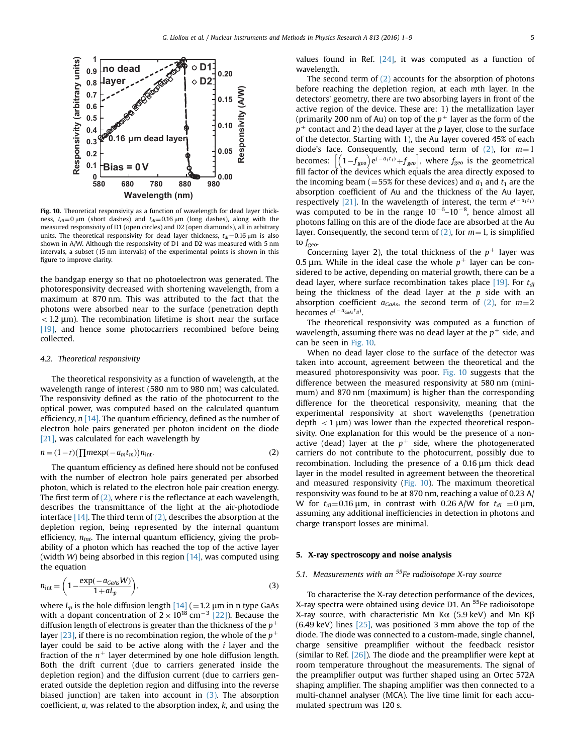<span id="page-5-0"></span>

Fig. 10. Theoretical responsivity as a function of wavelength for dead layer thickness,  $t_{\text{d}}=0$  μm (short dashes) and  $t_{\text{d}}=0.16$  μm (long dashes), along with the measured responsivity of D1 (open circles) and D2 (open diamonds), all in arbitrary units. The theoretical responsivity for dead layer thickness,  $t_{dl}$  = 0.16  $\mu$ m is also shown in A/W. Although the responsivity of D1 and D2 was measured with 5 nm intervals, a subset (15 nm intervals) of the experimental points is shown in this figure to improve clarity.

the bandgap energy so that no photoelectron was generated. The photoresponsivity decreased with shortening wavelength, from a maximum at 870 nm. This was attributed to the fact that the photons were absorbed near to the surface (penetration depth  $<$  1.2  $\mu$ m). The recombination lifetime is short near the surface [\[19\]](#page-8-0), and hence some photocarriers recombined before being collected.

#### 4.2. Theoretical responsivity

The theoretical responsivity as a function of wavelength, at the wavelength range of interest (580 nm to 980 nm) was calculated. The responsivity defined as the ratio of the photocurrent to the optical power, was computed based on the calculated quantum efficiency,  $n \lfloor 14 \rfloor$ . The quantum efficiency, defined as the number of electron hole pairs generated per photon incident on the diode [\[21\],](#page-9-0) was calculated for each wavelength by

$$
n = (1 - r)\left(\prod m \exp(-a_m t_m)\right) n_{\text{int}}.\tag{2}
$$

The quantum efficiency as defined here should not be confused with the number of electron hole pairs generated per absorbed photon, which is related to the electron hole pair creation energy. The first term of  $(2)$ , where r is the reflectance at each wavelength, describes the transmittance of the light at the air-photodiode interface  $[14]$ . The third term of  $(2)$ , describes the absorption at the depletion region, being represented by the internal quantum efficiency,  $n_{int}$ . The internal quantum efficiency, giving the probability of a photon which has reached the top of the active layer (width W) being absorbed in this region  $[14]$ , was computed using the equation

$$
n_{\text{int}} = \left(1 - \frac{\exp(-a_{\text{GaAs}}W)}{1 + aL_p}\right),\tag{3}
$$

where  $L_p$  is the hole diffusion length  $[14]$  (= 1.2 µm in n type GaAs with a dopant concentration of  $2 \times 10^{18}$  cm<sup>-3</sup> [\[22\]](#page-9-0)). Because the diffusion length of electrons is greater than the thickness of the  $p^+$ layer [\[23\],](#page-9-0) if there is no recombination region, the whole of the  $p^+$ layer could be said to be active along with the  $i$  layer and the fraction of the  $n^+$  layer determined by one hole diffusion length. Both the drift current (due to carriers generated inside the depletion region) and the diffusion current (due to carriers generated outside the depletion region and diffusing into the reverse biased junction) are taken into account in  $(3)$ . The absorption coefficient, a, was related to the absorption index, k, and using the values found in Ref.  $[24]$ , it was computed as a function of wavelength.

The second term of (2) accounts for the absorption of photons before reaching the depletion region, at each mth layer. In the detectors' geometry, there are two absorbing layers in front of the active region of the device. These are: 1) the metallization layer (primarily 200 nm of Au) on top of the  $p^+$  layer as the form of the  $p^+$  contact and 2) the dead layer at the p layer, close to the surface of the detector. Starting with 1), the Au layer covered 45% of each diode's face. Consequently, the second term of  $(2)$ , for  $m=1$ becomes:  $\left[\left(1-f_{geo}\right)e^{(-a_1t_1)}+f_{geo}\right]$ , where  $f_{geo}$  is the geometrical fill factor of the devices which equals the area directly exposed to the incoming beam ( $=$  55% for these devices) and  $a_1$  and  $t_1$  are the absorption coefficient of Au and the thickness of the Au layer, respectively [\[21\]](#page-9-0). In the wavelength of interest, the term  $e^{(-a_1t_1)}$ was computed to be in the range  $10^{-6}$ – $10^{-8}$ , hence almost all photons falling on this are of the diode face are absorbed at the Au layer. Consequently, the second term of (2), for  $m=1$ , is simplified to  $f_{\text{geo}}$ .

Concerning layer 2), the total thickness of the  $p^+$  layer was 0.5  $\mu$ m. While in the ideal case the whole  $p^+$  layer can be considered to be active, depending on material growth, there can be a dead layer, where surface recombination takes place  $[19]$ . For  $t_{dl}$ being the thickness of the dead layer at the  $p$  side with an absorption coefficient  $a_{GaAs}$ , the second term of (2), for  $m=2$ becomes  $e^{(-a_{GaAs}t_{dl})}$ .

The theoretical responsivity was computed as a function of wavelength, assuming there was no dead layer at the  $p^+$  side, and can be seen in Fig. 10.

When no dead layer close to the surface of the detector was taken into account, agreement between the theoretical and the measured photoresponsivity was poor. Fig. 10 suggests that the difference between the measured responsivity at 580 nm (minimum) and 870 nm (maximum) is higher than the corresponding difference for the theoretical responsivity, meaning that the experimental responsivity at short wavelengths (penetration depth  $<$  1  $\mu$ m) was lower than the expected theoretical responsivity. One explanation for this would be the presence of a nonactive (dead) layer at the  $p^+$  side, where the photogenerated carriers do not contribute to the photocurrent, possibly due to recombination. Including the presence of a 0.16 μm thick dead layer in the model resulted in agreement between the theoretical and measured responsivity (Fig. 10). The maximum theoretical responsivity was found to be at 870 nm, reaching a value of 0.23 A/ W for  $t_{dl} = 0.16 \mu m$ , in contrast with 0.26 A/W for  $t_{dl} = 0 \mu m$ , assuming any additional inefficiencies in detection in photons and charge transport losses are minimal.

#### 5. X-ray spectroscopy and noise analysis

#### 5.1. Measurements with an  $55$ Fe radioisotope X-ray source

To characterise the X-ray detection performance of the devices, X-ray spectra were obtained using device D1. An <sup>55</sup>Fe radioisotope X-ray source, with characteristic Mn Kα (5.9 keV) and Mn K $β$ (6.49 keV) lines [\[25\]](#page-9-0), was positioned 3 mm above the top of the diode. The diode was connected to a custom-made, single channel, charge sensitive preamplifier without the feedback resistor (similar to Ref.  $[26]$ ). The diode and the preamplifier were kept at room temperature throughout the measurements. The signal of the preamplifier output was further shaped using an Ortec 572A shaping amplifier. The shaping amplifier was then connected to a multi-channel analyser (MCA). The live time limit for each accumulated spectrum was 120 s.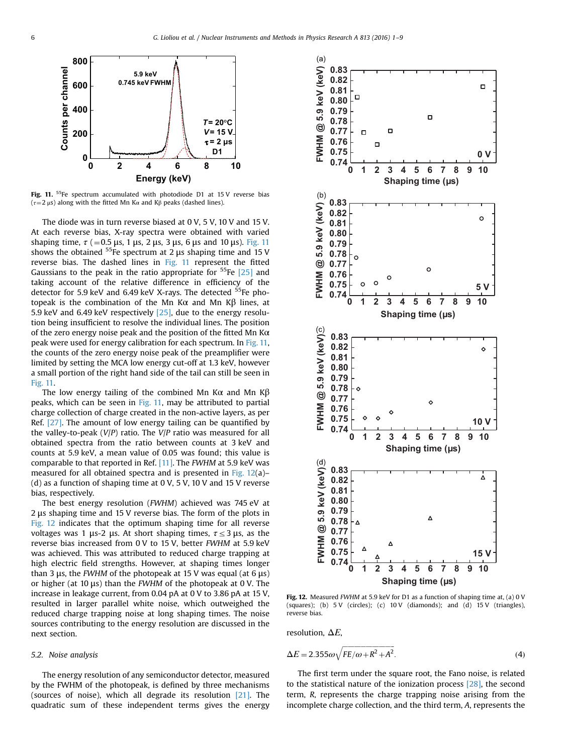<span id="page-6-0"></span>

Fig. 11.  $55$ Fe spectrum accumulated with photodiode D1 at 15 V reverse bias ( $\tau$ =2 µs) along with the fitted Mn K $\alpha$  and K $\beta$  peaks (dashed lines).

The diode was in turn reverse biased at 0 V, 5 V, 10 V and 15 V. At each reverse bias, X-ray spectra were obtained with varied shaping time,  $\tau$  (=0.5 μs, 1 μs, 2 μs, 3 μs, 6 μs and 10 μs). Fig. 11 shows the obtained  $55$ Fe spectrum at 2 μs shaping time and 15 V reverse bias. The dashed lines in Fig. 11 represent the fitted Gaussians to the peak in the ratio appropriate for  $55Fe$  [\[25\]](#page-9-0) and taking account of the relative difference in efficiency of the detector for 5.9 keV and 6.49 keV X-rays. The detected <sup>55</sup>Fe photopeak is the combination of the Mn Kα and Mn Kβ lines, at 5.9 keV and 6.49 keV respectively [\[25\]](#page-9-0), due to the energy resolution being insufficient to resolve the individual lines. The position of the zero energy noise peak and the position of the fitted Mn  $K\alpha$ peak were used for energy calibration for each spectrum. In Fig. 11, the counts of the zero energy noise peak of the preamplifier were limited by setting the MCA low energy cut-off at 1.3 keV, however a small portion of the right hand side of the tail can still be seen in Fig. 11.

The low energy tailing of the combined Mn K $\alpha$  and Mn K $\beta$ peaks, which can be seen in Fig. 11, may be attributed to partial charge collection of charge created in the non-active layers, as per Ref. [\[27\].](#page-9-0) The amount of low energy tailing can be quantified by the valley-to-peak  $(V/P)$  ratio. The  $V/P$  ratio was measured for all obtained spectra from the ratio between counts at 3 keV and counts at 5.9 keV, a mean value of 0.05 was found; this value is comparable to that reported in Ref. [\[11\].](#page-8-0) The FWHM at 5.9 keV was measured for all obtained spectra and is presented in Fig. 12(a)– (d) as a function of shaping time at  $0 \text{ V}$ ,  $5 \text{ V}$ ,  $10 \text{ V}$  and  $15 \text{ V}$  reverse bias, respectively.

The best energy resolution (FWHM) achieved was 745 eV at 2 μs shaping time and 15 V reverse bias. The form of the plots in Fig. 12 indicates that the optimum shaping time for all reverse voltages was 1 μs-2 μs. At short shaping times,  $\tau \leq 3$  μs, as the reverse bias increased from 0 V to 15 V, better FWHM at 5.9 keV was achieved. This was attributed to reduced charge trapping at high electric field strengths. However, at shaping times longer than 3 μs, the FWHM of the photopeak at 15 V was equal (at 6 μs) or higher (at 10 μs) than the FWHM of the photopeak at 0 V. The increase in leakage current, from 0.04 pA at 0 V to 3.86 pA at 15 V, resulted in larger parallel white noise, which outweighed the reduced charge trapping noise at long shaping times. The noise sources contributing to the energy resolution are discussed in the next section.

#### 5.2. Noise analysis

The energy resolution of any semiconductor detector, measured by the FWHM of the photopeak, is defined by three mechanisms (sources of noise), which all degrade its resolution [\[21\].](#page-9-0) The quadratic sum of these independent terms gives the energy



Fig. 12. Measured FWHM at 5.9 keV for D1 as a function of shaping time at, (a) 0 V (squares); (b) 5 V (circles); (c) 10 V (diamonds); and (d) 15 V (triangles), reverse bias.

resolution,  $\Delta E$ ,

$$
\Delta E = 2.355 \omega \sqrt{FE/\omega + R^2 + A^2}.
$$
\n(4)

The first term under the square root, the Fano noise, is related to the statistical nature of the ionization process [\[28\]](#page-9-0), the second term, R, represents the charge trapping noise arising from the incomplete charge collection, and the third term, A, represents the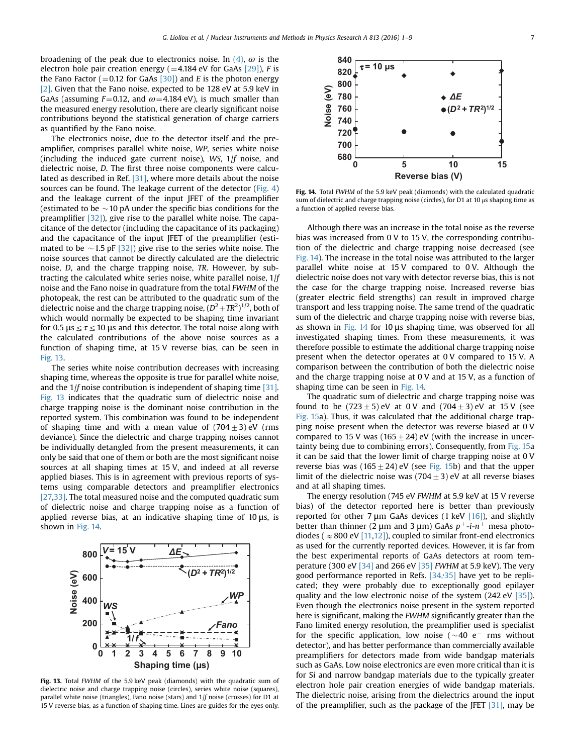broadening of the peak due to electronics noise. In  $(4)$ ,  $\omega$  is the electron hole pair creation energy  $(=4.184 \text{ eV}$  for GaAs  $[29]$ ), F is the Fano Factor ( $=$  0.12 for GaAs [\[30\]\)](#page-9-0) and E is the photon energy [\[2\]](#page-8-0). Given that the Fano noise, expected to be 128 eV at 5.9 keV in GaAs (assuming  $F=0.12$ , and  $\omega=4.184$  eV), is much smaller than the measured energy resolution, there are clearly significant noise contributions beyond the statistical generation of charge carriers as quantified by the Fano noise.

The electronics noise, due to the detector itself and the preamplifier, comprises parallel white noise, WP, series white noise (including the induced gate current noise), WS,  $1/f$  noise, and dielectric noise, D. The first three noise components were calculated as described in Ref. [\[31\]](#page-9-0), where more details about the noise sources can be found. The leakage current of the detector ([Fig. 4\)](#page-3-0) and the leakage current of the input JFET of the preamplifier (estimated to be  $\sim$  10 pA under the specific bias conditions for the preamplifier [\[32\]\)](#page-9-0), give rise to the parallel white noise. The capacitance of the detector (including the capacitance of its packaging) and the capacitance of the input JFET of the preamplifier (estimated to be  $\sim$  1.5 pF [\[32\]\)](#page-9-0) give rise to the series white noise. The noise sources that cannot be directly calculated are the dielectric noise, D, and the charge trapping noise, TR. However, by subtracting the calculated white series noise, white parallel noise, 1/f noise and the Fano noise in quadrature from the total FWHM of the photopeak, the rest can be attributed to the quadratic sum of the dielectric noise and the charge trapping noise,  $(D^2 + TR^2)^{1/2}$ , both of which would normally be expected to be shaping time invariant for 0.5 μs  $\leq \tau \leq 10$  μs and this detector. The total noise along with the calculated contributions of the above noise sources as a function of shaping time, at 15 V reverse bias, can be seen in Fig. 13.

The series white noise contribution decreases with increasing shaping time, whereas the opposite is true for parallel white noise, and the 1/f noise contribution is independent of shaping time [\[31\].](#page-9-0) Fig. 13 indicates that the quadratic sum of dielectric noise and charge trapping noise is the dominant noise contribution in the reported system. This combination was found to be independent of shaping time and with a mean value of  $(704+3)$  eV (rms deviance). Since the dielectric and charge trapping noises cannot be individually detangled from the present measurements, it can only be said that one of them or both are the most significant noise sources at all shaping times at 15 V, and indeed at all reverse applied biases. This is in agreement with previous reports of systems using comparable detectors and preamplifier electronics [\[27,33\]](#page-9-0). The total measured noise and the computed quadratic sum of dielectric noise and charge trapping noise as a function of applied reverse bias, at an indicative shaping time of 10 μs, is shown in Fig. 14.



Fig. 13. Total FWHM of the 5.9 keV peak (diamonds) with the quadratic sum of dielectric noise and charge trapping noise (circles), series white noise (squares), parallel white noise (triangles), Fano noise (stars) and  $1/f$  noise (crosses) for D1 at 15 V reverse bias, as a function of shaping time. Lines are guides for the eyes only.



Fig. 14. Total FWHM of the 5.9 keV peak (diamonds) with the calculated quadratic sum of dielectric and charge trapping noise (circles), for D1 at 10 μs shaping time as a function of applied reverse bias.

Although there was an increase in the total noise as the reverse bias was increased from 0 V to 15 V, the corresponding contribution of the dielectric and charge trapping noise decreased (see Fig. 14). The increase in the total noise was attributed to the larger parallel white noise at 15 V compared to 0 V. Although the dielectric noise does not vary with detector reverse bias, this is not the case for the charge trapping noise. Increased reverse bias (greater electric field strengths) can result in improved charge transport and less trapping noise. The same trend of the quadratic sum of the dielectric and charge trapping noise with reverse bias, as shown in Fig. 14 for 10 μs shaping time, was observed for all investigated shaping times. From these measurements, it was therefore possible to estimate the additional charge trapping noise present when the detector operates at 0 V compared to 15 V. A comparison between the contribution of both the dielectric noise and the charge trapping noise at 0 V and at 15 V, as a function of shaping time can be seen in Fig. 14.

The quadratic sum of dielectric and charge trapping noise was found to be  $(723 \pm 5)$  eV at 0 V and  $(704 \pm 3)$  eV at 15 V (see [Fig. 15](#page-8-0)a). Thus, it was calculated that the additional charge trapping noise present when the detector was reverse biased at 0 V compared to 15 V was (165  $\pm$  24) eV (with the increase in uncertainty being due to combining errors). Consequently, from [Fig. 15](#page-8-0)a it can be said that the lower limit of charge trapping noise at 0 V reverse bias was (165  $\pm$  24) eV (see [Fig. 15b](#page-8-0)) and that the upper limit of the dielectric noise was  $(704 \pm 3)$  eV at all reverse biases and at all shaping times.

The energy resolution (745 eV FWHM at 5.9 keV at 15 V reverse bias) of the detector reported here is better than previously reported for other 7 μm GaAs devices (1 keV  $[16]$ ), and slightly better than thinner (2  $\mu$ m and 3  $\mu$ m) GaAs  $p^+$ -*i*- $n^+$  mesa photodiodes ( $\approx 800$  eV [\[11,12\]\)](#page-8-0), coupled to similar front-end electronics as used for the currently reported devices. However, it is far from the best experimental reports of GaAs detectors at room temperature (300 eV [\[34\]](#page-9-0) and 266 eV [\[35\]](#page-9-0) FWHM at 5.9 keV). The very good performance reported in Refs. [\[34,](#page-9-0)[35\]](#page-9-0) have yet to be replicated; they were probably due to exceptionally good epilayer quality and the low electronic noise of the system (242 eV [\[35\]\)](#page-9-0). Even though the electronics noise present in the system reported here is significant, making the FWHM significantly greater than the Fano limited energy resolution, the preamplifier used is specialist for the specific application, low noise  $({\sim}40 \text{ e}^{-} \text{ rms}$  without detector), and has better performance than commercially available preamplifiers for detectors made from wide bandgap materials such as GaAs. Low noise electronics are even more critical than it is for Si and narrow bandgap materials due to the typically greater electron hole pair creation energies of wide bandgap materials. The dielectric noise, arising from the dielectrics around the input of the preamplifier, such as the package of the JFET [\[31\]](#page-9-0), may be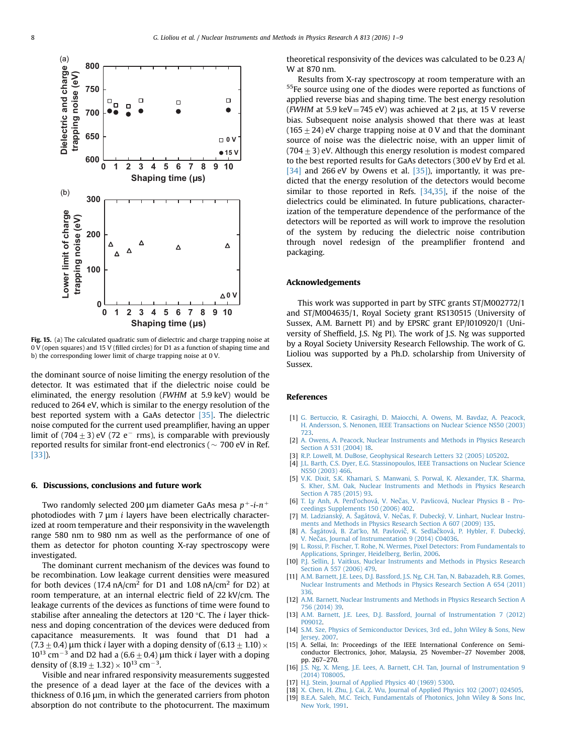<span id="page-8-0"></span>

Fig. 15. (a) The calculated quadratic sum of dielectric and charge trapping noise at 0 V (open squares) and 15 V (filled circles) for D1 as a function of shaping time and b) the corresponding lower limit of charge trapping noise at 0 V.

the dominant source of noise limiting the energy resolution of the detector. It was estimated that if the dielectric noise could be eliminated, the energy resolution (FWHM at 5.9 keV) would be reduced to 264 eV, which is similar to the energy resolution of the best reported system with a GaAs detector [\[35\].](#page-9-0) The dielectric noise computed for the current used preamplifier, having an upper limit of (704 $\pm$ 3) eV (72 e $^-$  rms), is comparable with previously reported results for similar front-end electronics ( $\sim$  700 eV in Ref. [\[33\]\)](#page-9-0).

#### 6. Discussions, conclusions and future work

Two randomly selected 200 µm diameter GaAs mesa  $p^+$ -i-n<sup>+</sup> photodiodes with  $7 \mu m$  i layers have been electrically characterized at room temperature and their responsivity in the wavelength range 580 nm to 980 nm as well as the performance of one of them as detector for photon counting X-ray spectroscopy were investigated.

The dominant current mechanism of the devices was found to be recombination. Low leakage current densities were measured for both devices (17.4 nA/cm<sup>2</sup> for D1 and 1.08 nA/cm<sup>2</sup> for D2) at room temperature, at an internal electric field of 22 kV/cm. The leakage currents of the devices as functions of time were found to stabilise after annealing the detectors at 120  $\degree$ C. The *i* layer thickness and doping concentration of the devices were deduced from capacitance measurements. It was found that D1 had a  $(7.3\pm0.4)$  μm thick *i* layer with a doping density of  $(6.13\pm1.10)\times$  $10^{13}$  cm<sup>-3</sup> and D2 had a (6.6  $\pm$  0.4) µm thick *i* layer with a doping density of  $(8.19 \pm 1.32) \times 10^{13}$  cm<sup>-3</sup>.

Visible and near infrared responsivity measurements suggested the presence of a dead layer at the face of the devices with a thickness of 0.16 μm, in which the generated carriers from photon absorption do not contribute to the photocurrent. The maximum

theoretical responsivity of the devices was calculated to be 0.23 A/ W at 870 nm.

Results from X-ray spectroscopy at room temperature with an 55Fe source using one of the diodes were reported as functions of applied reverse bias and shaping time. The best energy resolution (FWHM at 5.9 keV = 745 eV) was achieved at 2  $\mu$ s, at 15 V reverse bias. Subsequent noise analysis showed that there was at least  $(165 \pm 24)$  eV charge trapping noise at 0 V and that the dominant source of noise was the dielectric noise, with an upper limit of  $(704 \pm 3)$  eV. Although this energy resolution is modest compared to the best reported results for GaAs detectors (300 eV by Erd et al. [\[34\]](#page-9-0) and 266 eV by Owens et al. [\[35\]\)](#page-9-0), importantly, it was predicted that the energy resolution of the detectors would become similar to those reported in Refs. [\[34](#page-9-0),[35\]](#page-9-0), if the noise of the dielectrics could be eliminated. In future publications, characterization of the temperature dependence of the performance of the detectors will be reported as will work to improve the resolution of the system by reducing the dielectric noise contribution through novel redesign of the preamplifier frontend and packaging.

#### Acknowledgements

This work was supported in part by STFC grants ST/M002772/1 and ST/M004635/1, Royal Society grant RS130515 (University of Sussex, A.M. Barnett PI) and by EPSRC grant EP/I010920/1 (University of Sheffield, J.S. Ng PI). The work of J.S. Ng was supported by a Royal Society University Research Fellowship. The work of G. Lioliou was supported by a Ph.D. scholarship from University of Sussex.

#### References

- [1] [G. Bertuccio, R. Casiraghi, D. Maiocchi, A. Owens, M. Bavdaz, A. Peacock,](http://refhub.elsevier.com/S0168-9002(15)01601-0/sbref1) [H. Andersson, S. Nenonen, IEEE Transactions on Nuclear Science NS50 \(2003\)](http://refhub.elsevier.com/S0168-9002(15)01601-0/sbref1) [723.](http://refhub.elsevier.com/S0168-9002(15)01601-0/sbref1)
- [2] [A. Owens, A. Peacock, Nuclear Instruments and Methods in Physics Research](http://refhub.elsevier.com/S0168-9002(15)01601-0/sbref2) [Section A 531 \(2004\) 18.](http://refhub.elsevier.com/S0168-9002(15)01601-0/sbref2)
- [3] [R.P. Lowell, M. DuBose, Geophysical Research Letters 32 \(2005\) L05202.](http://refhub.elsevier.com/S0168-9002(15)01601-0/sbref3)
- [4] [J.L. Barth, C.S. Dyer, E.G. Stassinopoulos, IEEE Transactions on Nuclear Science](http://refhub.elsevier.com/S0168-9002(15)01601-0/sbref4) [NS50 \(2003\) 466.](http://refhub.elsevier.com/S0168-9002(15)01601-0/sbref4)
- [5] [V.K. Dixit, S.K. Khamari, S. Manwani, S. Porwal, K. Alexander, T.K. Sharma,](http://refhub.elsevier.com/S0168-9002(15)01601-0/sbref5) [S. Kher, S.M. Oak, Nuclear Instruments and Methods in Physics Research](http://refhub.elsevier.com/S0168-9002(15)01601-0/sbref5) [Section A 785 \(2015\) 93.](http://refhub.elsevier.com/S0168-9002(15)01601-0/sbref5)
- [6] [T. Ly Anh, A. Perd'ochová, V. Ne](http://refhub.elsevier.com/S0168-9002(15)01601-0/sbref6)[č](http://refhub.elsevier.com/S0168-9002(15)01601-0/sbref6)[as, V. Pavlicová, Nuclear Physics B Pro](http://refhub.elsevier.com/S0168-9002(15)01601-0/sbref6)[ceedings Supplements 150 \(2006\) 402.](http://refhub.elsevier.com/S0168-9002(15)01601-0/sbref6)
- [7] [M. Ladzianský, A.](http://refhub.elsevier.com/S0168-9002(15)01601-0/sbref7) Šagátová, V. Ne[č](http://refhub.elsevier.com/S0168-9002(15)01601-0/sbref7)[as, F. Dubecký, V. Linhart, Nuclear Instru](http://refhub.elsevier.com/S0168-9002(15)01601-0/sbref7)[ments and Methods in Physics Research Section A 607 \(2009\) 135.](http://refhub.elsevier.com/S0168-9002(15)01601-0/sbref7)
- [8] A. Š[agátová, B. Zat'ko, M. Pavlovi](http://refhub.elsevier.com/S0168-9002(15)01601-0/sbref8)[č](http://refhub.elsevier.com/S0168-9002(15)01601-0/sbref8)[, K. Sedla](http://refhub.elsevier.com/S0168-9002(15)01601-0/sbref8)[č](http://refhub.elsevier.com/S0168-9002(15)01601-0/sbref8)[ková, P. Hybler, F. Dubecký,](http://refhub.elsevier.com/S0168-9002(15)01601-0/sbref8) [V. Ne](http://refhub.elsevier.com/S0168-9002(15)01601-0/sbref8)[č](http://refhub.elsevier.com/S0168-9002(15)01601-0/sbref8)[as, Journal of Instrumentation 9 \(2014\) C04036.](http://refhub.elsevier.com/S0168-9002(15)01601-0/sbref8)
- [9] [L. Rossi, P. Fischer, T. Rohe, N. Wermes, Pixel Detectors: From Fundamentals to](http://refhub.elsevier.com/S0168-9002(15)01601-0/sbref9) [Applications, Springer, Heidelberg, Berlin, 2006.](http://refhub.elsevier.com/S0168-9002(15)01601-0/sbref9)
- [10] [P.J. Sellin, J. Vaitkus, Nuclear Instruments and Methods in Physics Research](http://refhub.elsevier.com/S0168-9002(15)01601-0/sbref10) [Section A 557 \(2006\) 479.](http://refhub.elsevier.com/S0168-9002(15)01601-0/sbref10)
- [11] [A.M. Barnett, J.E. Lees, D.J. Bassford, J.S. Ng, C.H. Tan, N. Babazadeh, R.B. Gomes,](http://refhub.elsevier.com/S0168-9002(15)01601-0/sbref11) [Nuclear Instruments and Methods in Physics Research Section A 654 \(2011\)](http://refhub.elsevier.com/S0168-9002(15)01601-0/sbref11) [336.](http://refhub.elsevier.com/S0168-9002(15)01601-0/sbref11)
- [12] [A.M. Barnett, Nuclear Instruments and Methods in Physics Research Section A](http://refhub.elsevier.com/S0168-9002(15)01601-0/sbref12) [756 \(2014\) 39.](http://refhub.elsevier.com/S0168-9002(15)01601-0/sbref12)
- [13] [A.M. Barnett, J.E. Lees, D.J. Bassford, Journal of Instrumentation 7 \(2012\)](http://refhub.elsevier.com/S0168-9002(15)01601-0/sbref13) [P09012.](http://refhub.elsevier.com/S0168-9002(15)01601-0/sbref13)
- [14] [S.M. Sze, Physics of Semiconductor Devices, 3rd ed., John Wiley](http://refhub.elsevier.com/S0168-9002(15)01601-0/sbref14) & [Sons, New](http://refhub.elsevier.com/S0168-9002(15)01601-0/sbref14) [Jersey, 2007.](http://refhub.elsevier.com/S0168-9002(15)01601-0/sbref14)
- [15] A. Sellai, In: Proceedings of the IEEE International Conference on Semiconductor Electronics, Johor, Malaysia, 25 November–27 November 2008, pp. 267–270.
- [16] [J.S. Ng, X. Meng, J.E. Lees, A. Barnett, C.H. Tan, Journal of Instrumentation 9](http://refhub.elsevier.com/S0168-9002(15)01601-0/sbref15) [\(2014\) T08005.](http://refhub.elsevier.com/S0168-9002(15)01601-0/sbref15)
- [17] [H.J. Stein, Journal of Applied Physics 40 \(1969\) 5300.](http://refhub.elsevier.com/S0168-9002(15)01601-0/sbref16)
- [18] [X. Chen, H. Zhu, J. Cai, Z. Wu, Journal of Applied Physics 102 \(2007\) 024505.](http://refhub.elsevier.com/S0168-9002(15)01601-0/sbref17)
- [19] [B.E.A. Saleh, M.C. Teich, Fundamentals of Photonics, John Wiley & Sons Inc,](http://refhub.elsevier.com/S0168-9002(15)01601-0/sbref18) [New York, 1991.](http://refhub.elsevier.com/S0168-9002(15)01601-0/sbref18)